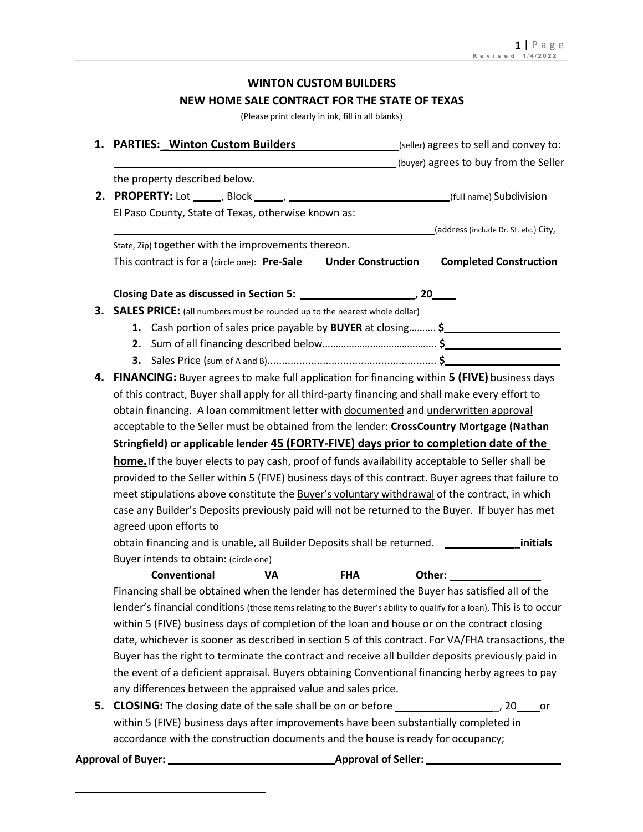# **WINTON CUSTOM BUILDERS NEW HOME SALE CONTRACT FOR THE STATE OF TEXAS**

(Please print clearly in ink, fill in all blanks)

|    | 1. PARTIES: Winton Custom Builders<br>(seller) agrees to sell and convey to:                                                                                              |  |                                                                                                                                                                                                                                |                                        |  |  |
|----|---------------------------------------------------------------------------------------------------------------------------------------------------------------------------|--|--------------------------------------------------------------------------------------------------------------------------------------------------------------------------------------------------------------------------------|----------------------------------------|--|--|
|    | (buyer) agrees to buy from the Seller                                                                                                                                     |  |                                                                                                                                                                                                                                |                                        |  |  |
|    | the property described below.                                                                                                                                             |  |                                                                                                                                                                                                                                |                                        |  |  |
|    |                                                                                                                                                                           |  |                                                                                                                                                                                                                                |                                        |  |  |
|    | El Paso County, State of Texas, otherwise known as:                                                                                                                       |  |                                                                                                                                                                                                                                |                                        |  |  |
|    |                                                                                                                                                                           |  |                                                                                                                                                                                                                                | _(address (include Dr. St. etc.) City, |  |  |
|    | State, Zip) together with the improvements thereon.                                                                                                                       |  |                                                                                                                                                                                                                                |                                        |  |  |
|    | This contract is for a (circle one): Pre-Sale<br><b>Under Construction</b>                                                                                                |  |                                                                                                                                                                                                                                | <b>Completed Construction</b>          |  |  |
|    |                                                                                                                                                                           |  |                                                                                                                                                                                                                                |                                        |  |  |
|    | 3. SALES PRICE: (all numbers must be rounded up to the nearest whole dollar)                                                                                              |  |                                                                                                                                                                                                                                |                                        |  |  |
|    | 1. Cash portion of sales price payable by BUYER at closing \$                                                                                                             |  |                                                                                                                                                                                                                                |                                        |  |  |
|    |                                                                                                                                                                           |  |                                                                                                                                                                                                                                |                                        |  |  |
|    |                                                                                                                                                                           |  |                                                                                                                                                                                                                                |                                        |  |  |
| 4. | FINANCING: Buyer agrees to make full application for financing within 5 (FIVE) business days                                                                              |  |                                                                                                                                                                                                                                |                                        |  |  |
|    | of this contract, Buyer shall apply for all third-party financing and shall make every effort to                                                                          |  |                                                                                                                                                                                                                                |                                        |  |  |
|    | obtain financing. A loan commitment letter with documented and underwritten approval                                                                                      |  |                                                                                                                                                                                                                                |                                        |  |  |
|    | acceptable to the Seller must be obtained from the lender: CrossCountry Mortgage (Nathan                                                                                  |  |                                                                                                                                                                                                                                |                                        |  |  |
|    |                                                                                                                                                                           |  |                                                                                                                                                                                                                                |                                        |  |  |
|    |                                                                                                                                                                           |  |                                                                                                                                                                                                                                |                                        |  |  |
|    | Stringfield) or applicable lender 45 (FORTY-FIVE) days prior to completion date of the                                                                                    |  |                                                                                                                                                                                                                                |                                        |  |  |
|    | home. If the buyer elects to pay cash, proof of funds availability acceptable to Seller shall be                                                                          |  |                                                                                                                                                                                                                                |                                        |  |  |
|    | provided to the Seller within 5 (FIVE) business days of this contract. Buyer agrees that failure to                                                                       |  |                                                                                                                                                                                                                                |                                        |  |  |
|    | meet stipulations above constitute the Buyer's voluntary withdrawal of the contract, in which                                                                             |  |                                                                                                                                                                                                                                |                                        |  |  |
|    | case any Builder's Deposits previously paid will not be returned to the Buyer. If buyer has met                                                                           |  |                                                                                                                                                                                                                                |                                        |  |  |
|    | agreed upon efforts to                                                                                                                                                    |  |                                                                                                                                                                                                                                |                                        |  |  |
|    | obtain financing and is unable, all Builder Deposits shall be returned. _________                                                                                         |  |                                                                                                                                                                                                                                | initials                               |  |  |
|    | Buyer intends to obtain: (circle one)                                                                                                                                     |  |                                                                                                                                                                                                                                |                                        |  |  |
|    | Conventional<br><b>VA</b><br><b>FHA</b>                                                                                                                                   |  | Other: and the control of the control of the control of the control of the control of the control of the control of the control of the control of the control of the control of the control of the control of the control of t |                                        |  |  |
|    | Financing shall be obtained when the lender has determined the Buyer has satisfied all of the                                                                             |  |                                                                                                                                                                                                                                |                                        |  |  |
|    | lender's financial conditions (those items relating to the Buyer's ability to qualify for a loan), This is to occur                                                       |  |                                                                                                                                                                                                                                |                                        |  |  |
|    | within 5 (FIVE) business days of completion of the loan and house or on the contract closing                                                                              |  |                                                                                                                                                                                                                                |                                        |  |  |
|    | date, whichever is sooner as described in section 5 of this contract. For VA/FHA transactions, the                                                                        |  |                                                                                                                                                                                                                                |                                        |  |  |
|    | Buyer has the right to terminate the contract and receive all builder deposits previously paid in                                                                         |  |                                                                                                                                                                                                                                |                                        |  |  |
|    | the event of a deficient appraisal. Buyers obtaining Conventional financing herby agrees to pay                                                                           |  |                                                                                                                                                                                                                                |                                        |  |  |
|    | any differences between the appraised value and sales price.                                                                                                              |  |                                                                                                                                                                                                                                |                                        |  |  |
|    |                                                                                                                                                                           |  |                                                                                                                                                                                                                                |                                        |  |  |
|    | within 5 (FIVE) business days after improvements have been substantially completed in<br>accordance with the construction documents and the house is ready for occupancy; |  |                                                                                                                                                                                                                                |                                        |  |  |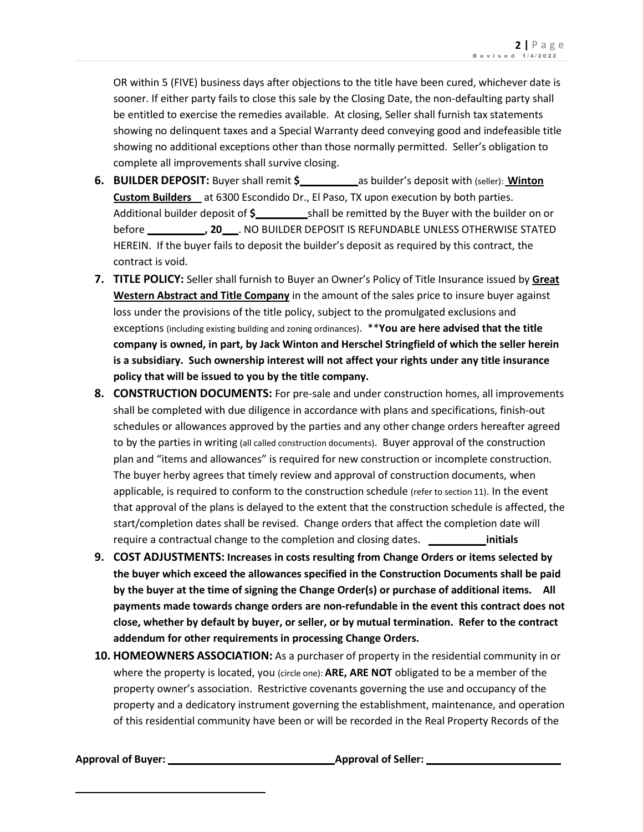OR within 5 (FIVE) business days after objections to the title have been cured, whichever date is sooner. If either party fails to close this sale by the Closing Date, the non-defaulting party shall be entitled to exercise the remedies available. At closing, Seller shall furnish tax statements showing no delinquent taxes and a Special Warranty deed conveying good and indefeasible title showing no additional exceptions other than those normally permitted. Seller's obligation to complete all improvements shall survive closing.

- **6. BUILDER DEPOSIT:** Buyer shall remit **\$** as builder's deposit with (seller): **Winton Custom Builders** at 6300 Escondido Dr., El Paso, TX upon execution by both parties. Additional builder deposit of **\$** shall be remitted by the Buyer with the builder on or before **, 20** . NO BUILDER DEPOSIT IS REFUNDABLE UNLESS OTHERWISE STATED HEREIN. If the buyer fails to deposit the builder's deposit as required by this contract, the contract is void.
- **7. TITLE POLICY:** Seller shall furnish to Buyer an Owner's Policy of Title Insurance issued by **Great Western Abstract and Title Company** in the amount of the sales price to insure buyer against loss under the provisions of the title policy, subject to the promulgated exclusions and exceptions (including existing building and zoning ordinances). \*\***You are here advised that the title company is owned, in part, by Jack Winton and Herschel Stringfield of which the seller herein is a subsidiary. Such ownership interest will not affect your rights under any title insurance policy that will be issued to you by the title company.**
- **8. CONSTRUCTION DOCUMENTS:** For pre-sale and under construction homes, all improvements shall be completed with due diligence in accordance with plans and specifications, finish-out schedules or allowances approved by the parties and any other change orders hereafter agreed to by the parties in writing (all called construction documents). Buyer approval of the construction plan and "items and allowances" is required for new construction or incomplete construction. The buyer herby agrees that timely review and approval of construction documents, when applicable, is required to conform to the construction schedule (refer to section 11). In the event that approval of the plans is delayed to the extent that the construction schedule is affected, the start/completion dates shall be revised. Change orders that affect the completion date will require a contractual change to the completion and closing dates. **initials**
- **9. COST ADJUSTMENTS: Increases in costs resulting from Change Orders or items selected by the buyer which exceed the allowances specified in the Construction Documents shall be paid by the buyer at the time of signing the Change Order(s) or purchase of additional items. All payments made towards change orders are non-refundable in the event this contract does not close, whether by default by buyer, or seller, or by mutual termination. Refer to the contract addendum for other requirements in processing Change Orders.**
- **10. HOMEOWNERS ASSOCIATION:** As a purchaser of property in the residential community in or where the property is located, you (circle one): **ARE, ARE NOT** obligated to be a member of the property owner's association. Restrictive covenants governing the use and occupancy of the property and a dedicatory instrument governing the establishment, maintenance, and operation of this residential community have been or will be recorded in the Real Property Records of the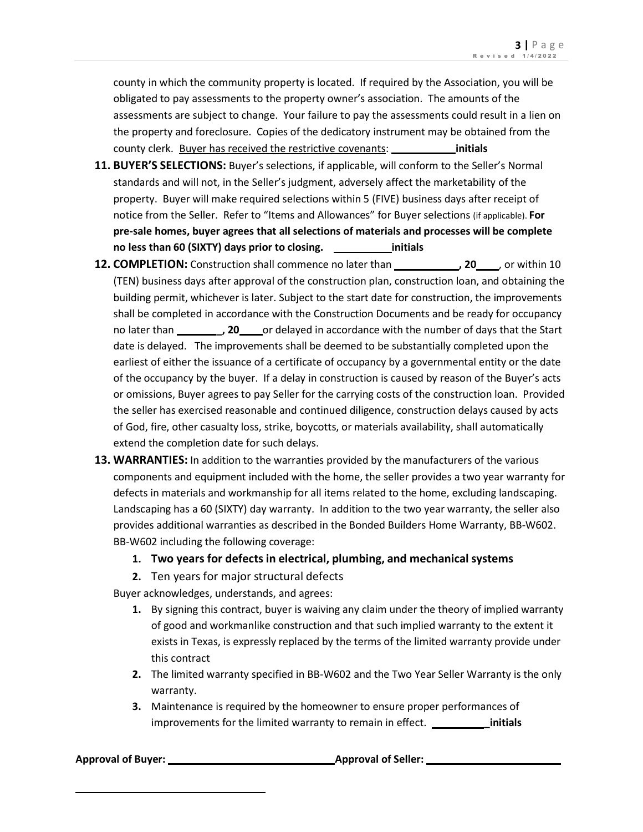county in which the community property is located. If required by the Association, you will be obligated to pay assessments to the property owner's association. The amounts of the assessments are subject to change. Your failure to pay the assessments could result in a lien on the property and foreclosure. Copies of the dedicatory instrument may be obtained from the county clerk. Buyer has received the restrictive covenants: **initials**

- **11. BUYER'S SELECTIONS:** Buyer's selections, if applicable, will conform to the Seller's Normal standards and will not, in the Seller's judgment, adversely affect the marketability of the property. Buyer will make required selections within 5 (FIVE) business days after receipt of notice from the Seller. Refer to "Items and Allowances" for Buyer selections (if applicable). **For pre-sale homes, buyer agrees that all selections of materials and processes will be complete no less than 60 (SIXTY) days prior to closing. initials**
- **12. COMPLETION:** Construction shall commence no later than **, 20 , 20 , 20** , or within 10 (TEN) business days after approval of the construction plan, construction loan, and obtaining the building permit, whichever is later. Subject to the start date for construction, the improvements shall be completed in accordance with the Construction Documents and be ready for occupancy no later than *\_\_\_\_\_\_***, 20** or delayed in accordance with the number of days that the Start date is delayed. The improvements shall be deemed to be substantially completed upon the earliest of either the issuance of a certificate of occupancy by a governmental entity or the date of the occupancy by the buyer. If a delay in construction is caused by reason of the Buyer's acts or omissions, Buyer agrees to pay Seller for the carrying costs of the construction loan. Provided the seller has exercised reasonable and continued diligence, construction delays caused by acts of God, fire, other casualty loss, strike, boycotts, or materials availability, shall automatically extend the completion date for such delays.
- **13. WARRANTIES:** In addition to the warranties provided by the manufacturers of the various components and equipment included with the home, the seller provides a two year warranty for defects in materials and workmanship for all items related to the home, excluding landscaping. Landscaping has a 60 (SIXTY) day warranty. In addition to the two year warranty, the seller also provides additional warranties as described in the Bonded Builders Home Warranty, BB-W602. BB-W602 including the following coverage:
	- **1. Two years for defects in electrical, plumbing, and mechanical systems**
	- **2.** Ten years for major structural defects

Buyer acknowledges, understands, and agrees:

- **1.** By signing this contract, buyer is waiving any claim under the theory of implied warranty of good and workmanlike construction and that such implied warranty to the extent it exists in Texas, is expressly replaced by the terms of the limited warranty provide under this contract
- **2.** The limited warranty specified in BB-W602 and the Two Year Seller Warranty is the only warranty.
- **3.** Maintenance is required by the homeowner to ensure proper performances of improvements for the limited warranty to remain in effect. *winder* initials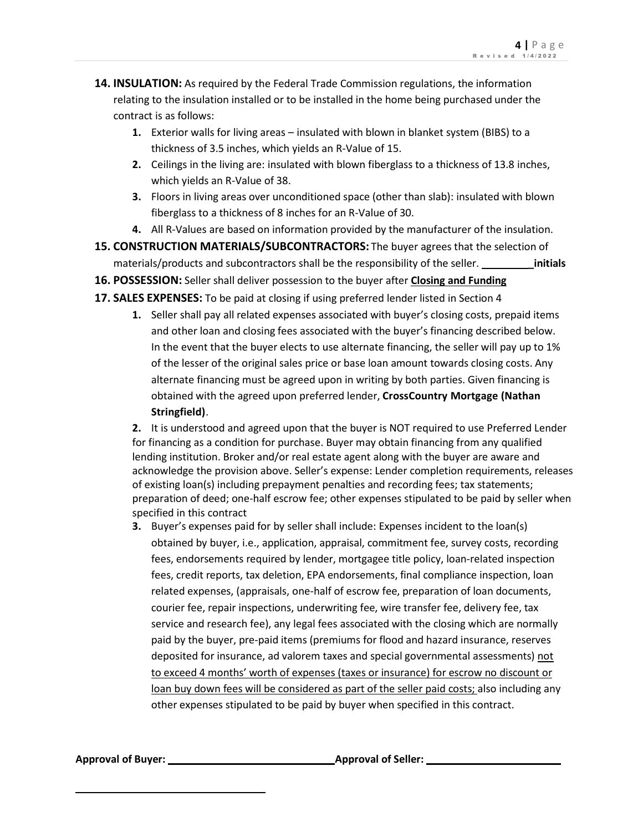- **14. INSULATION:** As required by the Federal Trade Commission regulations, the information relating to the insulation installed or to be installed in the home being purchased under the contract is as follows:
	- **1.** Exterior walls for living areas insulated with blown in blanket system (BIBS) to a thickness of 3.5 inches, which yields an R-Value of 15.
	- **2.** Ceilings in the living are: insulated with blown fiberglass to a thickness of 13.8 inches, which yields an R-Value of 38.
	- **3.** Floors in living areas over unconditioned space (other than slab): insulated with blown fiberglass to a thickness of 8 inches for an R-Value of 30.
	- **4.** All R-Values are based on information provided by the manufacturer of the insulation.
- **15. CONSTRUCTION MATERIALS/SUBCONTRACTORS:** The buyer agrees that the selection of materials/products and subcontractors shall be the responsibility of the seller. **\_\_\_\_\_\_\_\_\_\_\_\_\_ initials**
- **16. POSSESSION:** Seller shall deliver possession to the buyer after **Closing and Funding**
- **17. SALES EXPENSES:** To be paid at closing if using preferred lender listed in Section 4
	- **1.** Seller shall pay all related expenses associated with buyer's closing costs, prepaid items and other loan and closing fees associated with the buyer's financing described below. In the event that the buyer elects to use alternate financing, the seller will pay up to 1% of the lesser of the original sales price or base loan amount towards closing costs. Any alternate financing must be agreed upon in writing by both parties. Given financing is obtained with the agreed upon preferred lender, **CrossCountry Mortgage (Nathan Stringfield)**.

**2.** It is understood and agreed upon that the buyer is NOT required to use Preferred Lender for financing as a condition for purchase. Buyer may obtain financing from any qualified lending institution. Broker and/or real estate agent along with the buyer are aware and acknowledge the provision above. Seller's expense: Lender completion requirements, releases of existing loan(s) including prepayment penalties and recording fees; tax statements; preparation of deed; one-half escrow fee; other expenses stipulated to be paid by seller when specified in this contract

**3.** Buyer's expenses paid for by seller shall include: Expenses incident to the loan(s) obtained by buyer, i.e., application, appraisal, commitment fee, survey costs, recording fees, endorsements required by lender, mortgagee title policy, loan-related inspection fees, credit reports, tax deletion, EPA endorsements, final compliance inspection, loan related expenses, (appraisals, one-half of escrow fee, preparation of loan documents, courier fee, repair inspections, underwriting fee, wire transfer fee, delivery fee, tax service and research fee), any legal fees associated with the closing which are normally paid by the buyer, pre-paid items (premiums for flood and hazard insurance, reserves deposited for insurance, ad valorem taxes and special governmental assessments) not to exceed 4 months' worth of expenses (taxes or insurance) for escrow no discount or loan buy down fees will be considered as part of the seller paid costs; also including any other expenses stipulated to be paid by buyer when specified in this contract.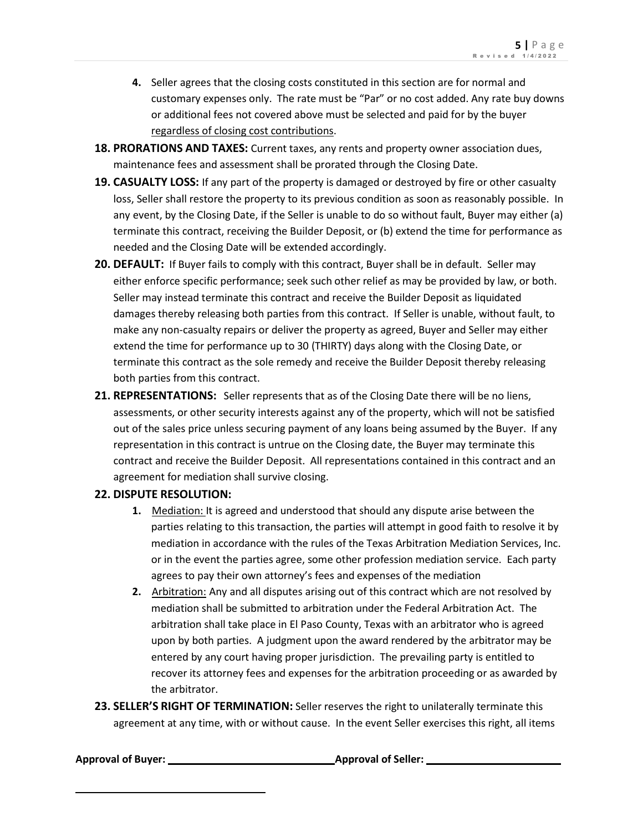- **4.** Seller agrees that the closing costs constituted in this section are for normal and customary expenses only. The rate must be "Par" or no cost added. Any rate buy downs or additional fees not covered above must be selected and paid for by the buyer regardless of closing cost contributions.
- **18. PRORATIONS AND TAXES:** Current taxes, any rents and property owner association dues, maintenance fees and assessment shall be prorated through the Closing Date.
- **19. CASUALTY LOSS:** If any part of the property is damaged or destroyed by fire or other casualty loss, Seller shall restore the property to its previous condition as soon as reasonably possible. In any event, by the Closing Date, if the Seller is unable to do so without fault, Buyer may either (a) terminate this contract, receiving the Builder Deposit, or (b) extend the time for performance as needed and the Closing Date will be extended accordingly.
- **20. DEFAULT:** If Buyer fails to comply with this contract, Buyer shall be in default. Seller may either enforce specific performance; seek such other relief as may be provided by law, or both. Seller may instead terminate this contract and receive the Builder Deposit as liquidated damages thereby releasing both parties from this contract. If Seller is unable, without fault, to make any non-casualty repairs or deliver the property as agreed, Buyer and Seller may either extend the time for performance up to 30 (THIRTY) days along with the Closing Date, or terminate this contract as the sole remedy and receive the Builder Deposit thereby releasing both parties from this contract.
- **21. REPRESENTATIONS:** Seller represents that as of the Closing Date there will be no liens, assessments, or other security interests against any of the property, which will not be satisfied out of the sales price unless securing payment of any loans being assumed by the Buyer. If any representation in this contract is untrue on the Closing date, the Buyer may terminate this contract and receive the Builder Deposit. All representations contained in this contract and an agreement for mediation shall survive closing.

### **22. DISPUTE RESOLUTION:**

- **1.** Mediation: It is agreed and understood that should any dispute arise between the parties relating to this transaction, the parties will attempt in good faith to resolve it by mediation in accordance with the rules of the Texas Arbitration Mediation Services, Inc. or in the event the parties agree, some other profession mediation service. Each party agrees to pay their own attorney's fees and expenses of the mediation
- **2.** Arbitration: Any and all disputes arising out of this contract which are not resolved by mediation shall be submitted to arbitration under the Federal Arbitration Act. The arbitration shall take place in El Paso County, Texas with an arbitrator who is agreed upon by both parties. A judgment upon the award rendered by the arbitrator may be entered by any court having proper jurisdiction. The prevailing party is entitled to recover its attorney fees and expenses for the arbitration proceeding or as awarded by the arbitrator.
- **23. SELLER'S RIGHT OF TERMINATION:** Seller reserves the right to unilaterally terminate this agreement at any time, with or without cause. In the event Seller exercises this right, all items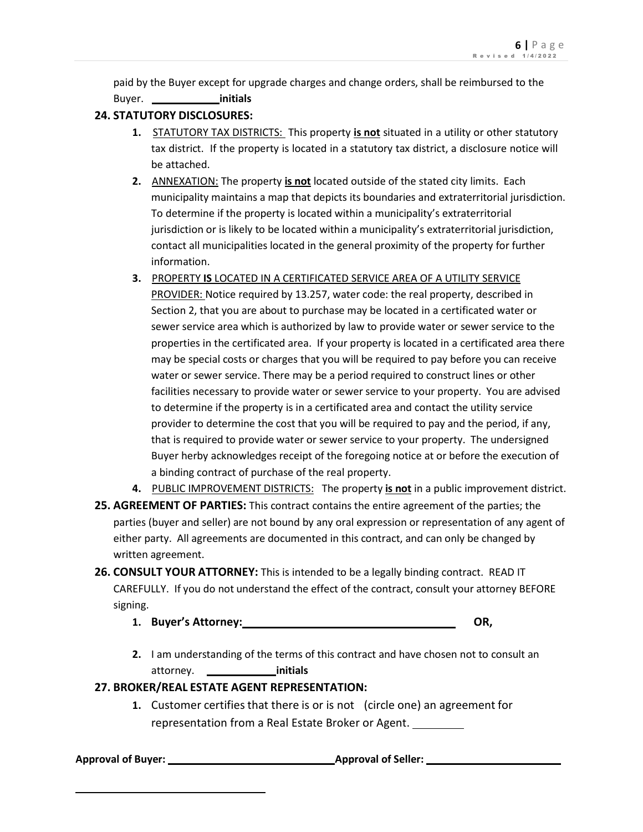paid by the Buyer except for upgrade charges and change orders, shall be reimbursed to the Buyer. **initials**

# **24. STATUTORY DISCLOSURES:**

- **1.** STATUTORY TAX DISTRICTS: This property **is not** situated in a utility or other statutory tax district. If the property is located in a statutory tax district, a disclosure notice will be attached.
- **2.** ANNEXATION: The property **is not** located outside of the stated city limits. Each municipality maintains a map that depicts its boundaries and extraterritorial jurisdiction. To determine if the property is located within a municipality's extraterritorial jurisdiction or is likely to be located within a municipality's extraterritorial jurisdiction, contact all municipalities located in the general proximity of the property for further information.
- **3.** PROPERTY **IS** LOCATED IN A CERTIFICATED SERVICE AREA OF A UTILITY SERVICE PROVIDER: Notice required by 13.257, water code: the real property, described in Section 2, that you are about to purchase may be located in a certificated water or sewer service area which is authorized by law to provide water or sewer service to the properties in the certificated area. If your property is located in a certificated area there may be special costs or charges that you will be required to pay before you can receive water or sewer service. There may be a period required to construct lines or other facilities necessary to provide water or sewer service to your property. You are advised to determine if the property is in a certificated area and contact the utility service provider to determine the cost that you will be required to pay and the period, if any, that is required to provide water or sewer service to your property. The undersigned Buyer herby acknowledges receipt of the foregoing notice at or before the execution of a binding contract of purchase of the real property.
- **4.** PUBLIC IMPROVEMENT DISTRICTS: The property **is not** in a public improvement district.
- **25. AGREEMENT OF PARTIES:** This contract contains the entire agreement of the parties; the parties (buyer and seller) are not bound by any oral expression or representation of any agent of either party. All agreements are documented in this contract, and can only be changed by written agreement.
- **26. CONSULT YOUR ATTORNEY:** This is intended to be a legally binding contract. READ IT CAREFULLY. If you do not understand the effect of the contract, consult your attorney BEFORE signing.
	- **1. Buyer's Attorney: OR,**
	- **2.** I am understanding of the terms of this contract and have chosen not to consult an attorney. **initials**

# **27. BROKER/REAL ESTATE AGENT REPRESENTATION:**

**1.** Customer certifies that there is or is not (circle one) an agreement for representation from a Real Estate Broker or Agent.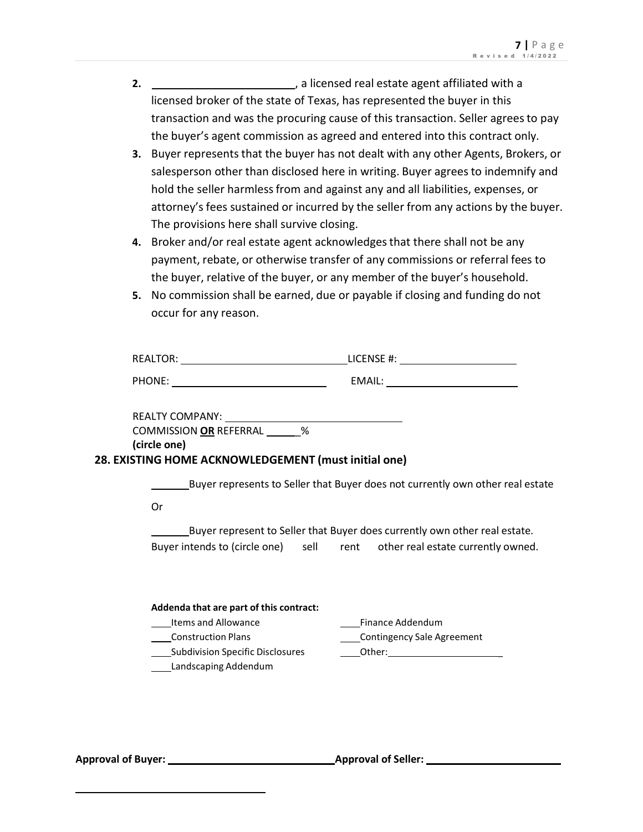- **2.** , a licensed real estate agent affiliated with a licensed broker of the state of Texas, has represented the buyer in this transaction and was the procuring cause of this transaction. Seller agreesto pay the buyer's agent commission as agreed and entered into this contract only.
- **3.** Buyer represents that the buyer has not dealt with any other Agents, Brokers, or salesperson other than disclosed here in writing. Buyer agrees to indemnify and hold the seller harmlessfrom and against any and all liabilities, expenses, or attorney's fees sustained or incurred by the seller from any actions by the buyer. The provisions here shall survive closing.
- **4.** Broker and/or real estate agent acknowledgesthat there shall not be any payment, rebate, or otherwise transfer of any commissions or referral fees to the buyer, relative of the buyer, or any member of the buyer's household.
- **5.** No commission shall be earned, due or payable if closing and funding do not occur for any reason.

| <b>REALTOR:</b> | LICENSE #: |
|-----------------|------------|
| PHONE:          | EMAIL:     |

| <b>REALTY COMPANY:</b>        |   |
|-------------------------------|---|
| <b>COMMISSION OR REFERRAL</b> | % |
| (circle one)                  |   |

### **28. EXISTING HOME ACKNOWLEDGEMENT (must initial one)**

Buyer represents to Seller that Buyer does not currently own other real estate

Or

Buyer represent to Seller that Buyer does currently own other real estate. Buyer intends to (circle one) sell rent other real estate currently owned.

| Addenda that are part of this contract: |                            |  |  |  |  |  |
|-----------------------------------------|----------------------------|--|--|--|--|--|
| Items and Allowance                     | Finance Addendum           |  |  |  |  |  |
| <b>Construction Plans</b>               | Contingency Sale Agreement |  |  |  |  |  |
| <b>Subdivision Specific Disclosures</b> | Other:                     |  |  |  |  |  |
| Landscaping Addendum                    |                            |  |  |  |  |  |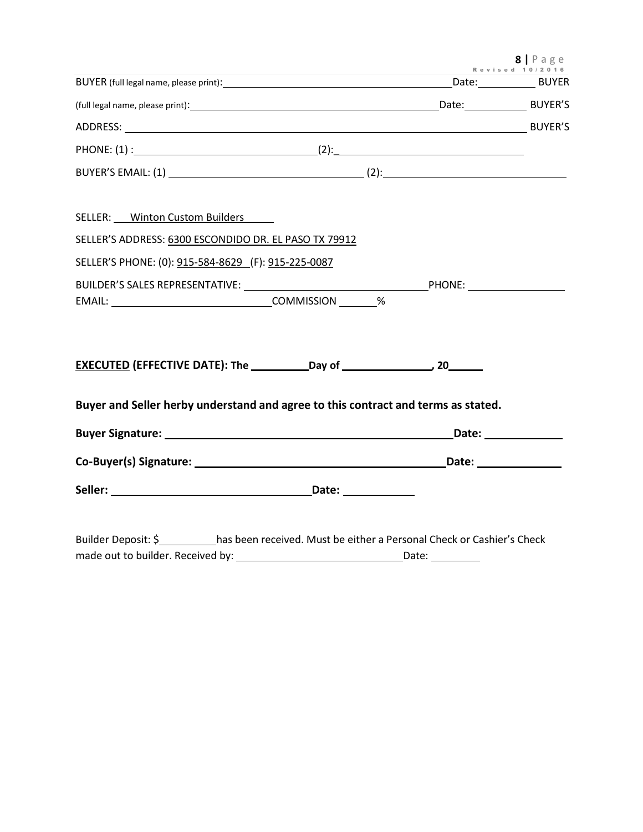|                                                                                                     | Revised 10/ | $8$   Page |
|-----------------------------------------------------------------------------------------------------|-------------|------------|
|                                                                                                     |             |            |
|                                                                                                     |             |            |
|                                                                                                     |             |            |
|                                                                                                     |             |            |
|                                                                                                     |             |            |
|                                                                                                     |             |            |
| SELLER: Winton Custom Builders                                                                      |             |            |
| SELLER'S ADDRESS: 6300 ESCONDIDO DR. EL PASO TX 79912                                               |             |            |
| SELLER'S PHONE: (0): 915-584-8629 (F): 915-225-0087                                                 |             |            |
|                                                                                                     |             |            |
| EMAIL: EMAIL: 2000 COMMISSION                                                                       |             |            |
|                                                                                                     |             |            |
|                                                                                                     |             |            |
|                                                                                                     |             |            |
| Buyer and Seller herby understand and agree to this contract and terms as stated.                   |             |            |
|                                                                                                     |             |            |
|                                                                                                     |             |            |
|                                                                                                     |             |            |
|                                                                                                     |             |            |
|                                                                                                     |             |            |
| Builder Deposit: \$___________has been received. Must be either a Personal Check or Cashier's Check |             |            |

made out to builder. Received by: Date: